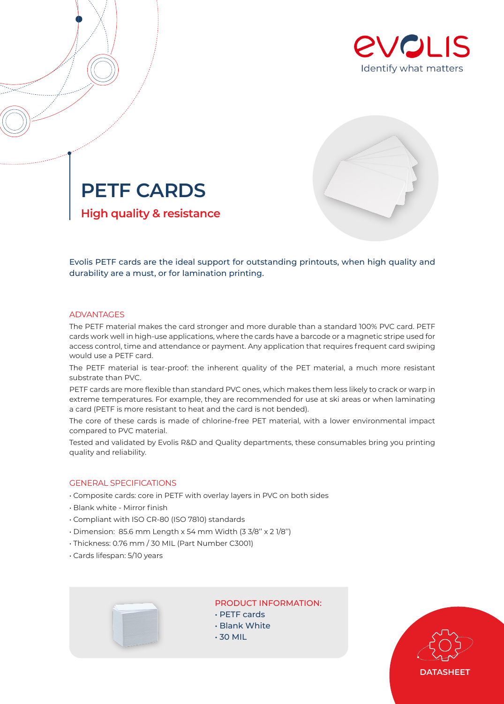



**PETF CARDS High quality & resistance**

Evolis PETF cards are the ideal support for outstanding printouts, when high quality and durability are a must, or for lamination printing.

### ADVANTAGES

The PETF material makes the card stronger and more durable than a standard 100% PVC card. PETF cards work well in high-use applications, where the cards have a barcode or a magnetic stripe used for access control, time and attendance or payment. Any application that requires frequent card swiping would use a PETF card.

The PETF material is tear-proof: the inherent quality of the PET material, a much more resistant substrate than PVC.

PETF cards are more flexible than standard PVC ones, which makes them less likely to crack or warp in extreme temperatures. For example, they are recommended for use at ski areas or when laminating a card (PETF is more resistant to heat and the card is not bended).

The core of these cards is made of chlorine-free PET material, with a lower environmental impact compared to PVC material.

Tested and validated by Evolis R&D and Quality departments, these consumables bring you printing quality and reliability.

### GENERAL SPECIFICATIONS

- Composite cards: core in PETF with overlay layers in PVC on both sides
- Blank white Mirror finish
- Compliant with ISO CR-80 (ISO 7810) standards
- Dimension: 85.6 mm Length x 54 mm Width (3 3/8'' x 2 1/8'')
- Thickness: 0.76 mm / 30 MIL (Part Number C3001)
- Cards lifespan: 5/10 years



# PRODUCT INFORMATION:

- PETF cards
- Blank White
- 30 MIL